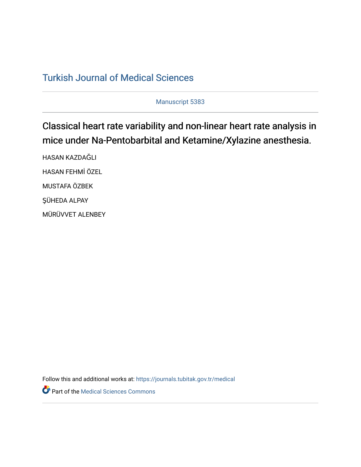## [Turkish Journal of Medical Sciences](https://journals.tubitak.gov.tr/medical)

Manuscript 5383

# Classical heart rate variability and non-linear heart rate analysis in mice under Na-Pentobarbital and Ketamine/Xylazine anesthesia.

HASAN KAZDAĞLI HASAN FEHMİ ÖZEL MUSTAFA ÖZBEK ŞÜHEDA ALPAY MÜRÜVVET ALENBEY

Follow this and additional works at: [https://journals.tubitak.gov.tr/medical](https://journals.tubitak.gov.tr/medical?utm_source=journals.tubitak.gov.tr%2Fmedical%2Fvol52%2Fiss3%2F41&utm_medium=PDF&utm_campaign=PDFCoverPages) 

**Part of the Medical Sciences Commons**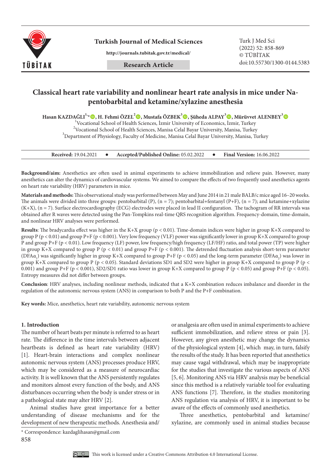

**Turkish Journal of Medical Sciences** Turk J Med Sci

**http://journals.tubitak.gov.tr/medical/**

## **Classical heart rate variability and nonlinear heart rate analysis in mice under Napentobarbital and ketamine/xylazine anesthesia**

**Hasan KAZDAĞLI1,\*, H. Fehmi ÖZEL2 , Mustafa ÖZBEK3 , Şüheda ALPAY<sup>3</sup> , Mürüvvet ALENBEY3**

1 Vocational School of Health Sciences, İzmir University of Economics, İzmir, Turkey <sup>2</sup> Vocational School of Health Sciences, Manisa Celal Bayar University, Manisa, Turkey<sup>3</sup> Deneatment of Physiclesus Faculty of Medicine, Menice Celal Bayar University, Manisa, Turkey  $3$ Department of Physiology, Faculty of Medicine, Manisa Celal Bayar University, Manisa, Turkey

#### **Received:** 19.04.2021 **•** Accepted/Published Online: 05.02.2022 **•** Final Version: 16.06.2022

**Background/aim:** Anesthetics are often used in animal experiments to achieve immobilization and relieve pain. However, many anesthetics can alter the dynamics of cardiovascular systems. We aimed to compare the effects of two frequently used anesthetics agents on heart rate variability (HRV) parameters in mice.

**Materials and methods:** This observational study was performed between May and June 2014 in 21 male BALB/c mice aged 16–20 weeks. The animals were divided into three groups: pentobarbital (P),  $(n = 7)$ ; pentobarbital+fentanyl (P+F),  $(n = 7)$ ; and ketamine+xylazine (K+X), (n = 7). Surface electrocardiography (ECG) electrodes were placed in lead II configuration. The tachogram of RR intervals was obtained after R waves were detected using the Pan-Tompkins real-time QRS recognition algorithm. Frequency-domain, time-domain, and nonlinear HRV analyses were performed.

**Results**: The bradycardia effect was higher in the K+X group (p < 0.01). Time-domain indices were higher in group K+X compared to group P ( $p < 0.01$ ) and group P+F ( $p < 0.001$ ). Very low frequency (VLF) power was significantly lower in group K+X compared to group P and group P+F (p < 0.01). Low frequency (LF) power, low frequency/high frequency (LF/HF) ratio, and total power (TP) were higher in group K+X compared to group P ( $p < 0.01$ ) and group P+F ( $p < 0.001$ ). The detrended fluctuation analysis short-term parameter (DFA $\alpha_1$ ) was significantly higher in group K+X compared to group P+F (p < 0.05) and the long-term parameter (DFA $\alpha_2$ ) was lower in group K+X compared to group P (p < 0.05). Standard deviations SD1 and SD2 were higher in group K+X compared to group P (p < 0.001) and group P+F (p < 0.001), SD2/SD1 ratio was lower in group K+X compared to group P (p < 0.05) and group P+F (p < 0.05). Entropy measures did not differ between groups.

**Conclusion**: HRV analyses, including nonlinear methods, indicated that a K+X combination reduces imbalance and disorder in the regulation of the autonomic nervous system (ANS) in comparison to both P and the P+F combination.

**Key words:** Mice, anesthetics, heart rate variability, autonomic nervous system

#### **1. Introduction**

The number of heart beats per minute is referred to as heart rate. The difference in the time intervals between adjacent heartbeats is defined as heart rate variability (HRV) [1]. Heart-brain interactions and complex nonlinear autonomic nervous system (ANS) processes produce HRV, which may be considered as a measure of neurocardiac activity. It is well known that the ANS persistently regulates and monitors almost every function of the body, and ANS disturbances occurring when the body is under stress or in a pathological state may alter HRV [2].

Animal studies have great importance for a better understanding of disease mechanisms and for the development of new therapeutic methods. Anesthesia and/

or analgesia are often used in animal experiments to achieve sufficient immobilization, and relieve stress or pain [3]. However, any given anesthetic may change the dynamics of the physiological system [4], which may, in turn, falsify the results of the study. It has been reported that anesthetics may cause vagal withdrawal, which may be inappropriate for the studies that investigate the various aspects of ANS [5, 6]. Monitoring ANS via HRV analysis may be beneficial since this method is a relatively variable tool for evaluating ANS functions [7]. Therefore, in the studies monitoring ANS regulation via analysis of HRV, it is important to be aware of the effects of commonly used anesthetics.

Three anesthetics, pentobarbital and ketamine/ xylazine, are commonly used in animal studies because



<sup>858</sup> \* Correspondence: kazdaglihasan@gmail.com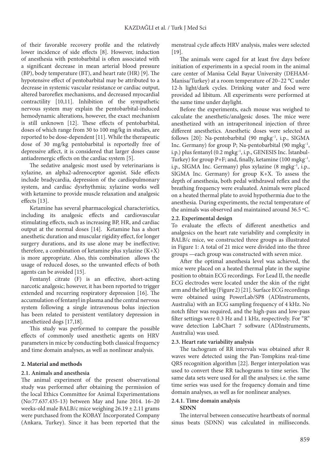of their favorable recovery profile and the relatively lower incidence of side effects [8]. However, induction of anesthesia with pentobarbital is often associated with a significant decrease in mean arterial blood pressure (BP), body temperature (BT), and heart rate (HR) [9]. The hypotensive effect of pentobarbital may be attributed to a decrease in systemic vascular resistance or cardiac output, altered baroreflex mechanisms, and decreased myocardial contractility [10,11]. Inhibition of the sympathetic nervous system may explain the pentobarbital-induced hemodynamic alterations, however, the exact mechanism is still unknown [12]. These effects of pentobarbital, doses of which range from 30 to 100 mg/kg in studies, are reported to be dose-dependent [11]. While the therapeutic dose of 30 mg/kg pentobarbital is reportedly free of depressive affect, it is considered that larger doses cause antiadrenergic effects on the cardiac system [5].

The sedative analgesic most used by veterinarians is xylazine, an alpha2-adrenoceptor agonist. Side effects include bradycardia, depression of the cardiopulmonary system, and cardiac dysrhythmia; xylazine works well with ketamine to provide muscle relaxation and analgesic effects [13].

Ketamine has several pharmacological characteristics, including its analgesic effects and cardiovascular stimulating effects, such as increasing BP, HR, and cardiac output at the normal doses [14]. Ketamine has a short anesthetic duration and muscular rigidity effect, for longer surgery durations, and its use alone may be ineffective; therefore, a combination of ketamine plus xylazine  $(K+X)$ is more appropriate. Also, this combination allows the usage of reduced doses, so the unwanted effects of both agents can be avoided [15].

Fentanyl citrate (F) is an effective, short-acting narcotic analgesic; however, it has been reported to trigger extended and recurring respiratory depression [16]. The accumulation of fentanyl in plasma and the central nervous system following a single intravenous bolus injection has been related to persistent ventilatory depression in anesthetized dogs [17,18].

This study was performed to compare the possible effects of commonly used anesthetic agents on HRV parameters in mice by conducting both classical frequency and time domain analyses, as well as nonlinear analysis.

## **2. Material and methods**

## **2.1. Animals and anesthesia**

The animal experiment of the present observational study was performed after obtaining the permission of the local Ethics Committee for Animal Experimentations (No:77.637.435-13) between May and June 2014. 16–20 weeks-old male BALB/c mice weighing 26.19 ± 2.11 grams were purchased from the KOBAY Incorporated Company (Ankara, Turkey). Since it has been reported that the menstrual cycle affects HRV analysis, males were selected [19].

The animals were caged for at least five days before initiation of experiments in a special room in the animal care center of Manisa Celal Bayar University (DEHAM-Manisa/Turkey) at a room temperature of 20–22 °C under 12-h light/dark cycles. Drinking water and food were provided ad libitum. All experiments were performed at the same time under daylight.

Before the experiments, each mouse was weighed to calculate the anesthetic/analgesic doses. The mice were anesthetized with an intraperitoneal injection of three different anesthetics. Anesthetic doses were selected as follows  $[20]$ : Na-pentobarbital  $(90 \text{ mgkg}^{-1}, i.p., \text{SIGMA})$ Inc. Germany) for group P; Na-pentobarbital (90 mgkg–1, i.p.) plus fentanyl (0.2 mgkg–1, i.p., GENESIS Inc. İstanbul-Turkey) for group  $P+F$ ; and, finally, ketamine (100 mgkg<sup>-1</sup>, i.p., SIGMA Inc. Germany) plus xylazine (8 mgkg–1, i.p., SIGMA Inc. Germany) for group K+X. To assess the depth of anesthesia, both pedal withdrawal reflex and the breathing frequency were evaluated. Animals were placed on a heated thermal plate to avoid hypothermia due to the anesthesia. During experiments, the rectal temperature of the animals was observed and maintained around 36.5 ºC.

## **2.2. Experimental design**

To evaluate the effects of different anesthetics and analgesics on the heart rate variability and complexity in BALB/c mice, we constructed three groups as illustrated in Figure 1: A total of 21 mice were divided into the three groups —each group was constructed with seven mice.

After the optimal anesthesia level was achieved, the mice were placed on a heated thermal plate in the supine position to obtain ECG recordings. For Lead II, the needle ECG electrodes were located under the skin of the right arm and the left leg (Figure 2) [21]. Surface ECG recordings were obtained using PowerLab/SP8 (ADInstruments, Australia) with an ECG sampling frequency of 4 kHz. No notch filter was required, and the high-pass and low-pass filter settings were 0.3 Hz and 1 kHz, respectively. For "R" wave detection LabChart 7 software (ADInstruments, Australia) was used.

## **2.3. Heart rate variability analysis**

The tachogram of RR intervals was obtained after R waves were detected using the Pan-Tompkins real-time QRS recognition algorithm [22]. Berger interpolation was used to convert these RR tachograms to time series. The same data sets were used for all the analyses; i.e. the same time series was used for the frequency domain and time domain analyses, as well as for nonlinear analyses.

## **2.4.1. Time domain analysis**

## **SDNN**

The interval between consecutive heartbeats of normal sinus beats (SDNN) was calculated in milliseconds.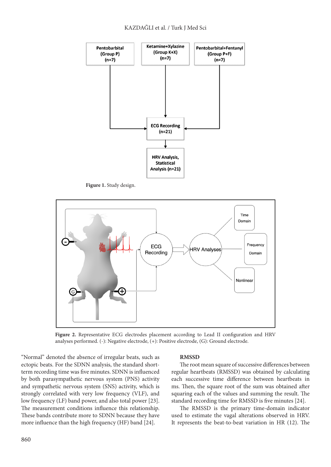

**Figure 1.** Study design.



Figure 2. Representative ECG electrodes placement according to Lead II configuration and HRV analyses performed. (-): Negative electrode, (+): Positive electrode, (G): Ground electrode.

"Normal" denoted the absence of irregular beats, such as ectopic beats. For the SDNN analysis, the standard shortterm recording time was five minutes. SDNN is influenced by both parasympathetic nervous system (PNS) activity and sympathetic nervous system (SNS) activity, which is strongly correlated with very low frequency (VLF), and low frequency (LF) band power, and also total power [23]. The measurement conditions influence this relationship. These bands contribute more to SDNN because they have more influence than the high frequency (HF) band [24].

#### **RMSSD**

The root mean square of successive differences between regular heartbeats (RMSSD) was obtained by calculating each successive time difference between heartbeats in ms. Then, the square root of the sum was obtained after squaring each of the values and summing the result. The standard recording time for RMSSD is five minutes [24].

The RMSSD is the primary time-domain indicator used to estimate the vagal alterations observed in HRV. It represents the beat-to-beat variation in HR (12). The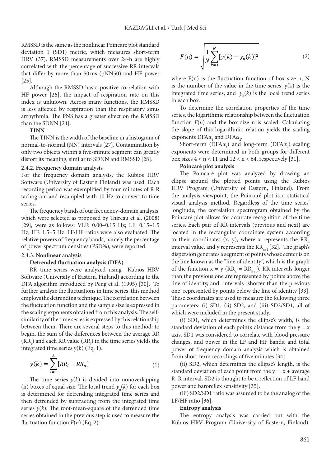RMSSD is the same as the nonlinear Poincaré plot standard deviation 1 (SD1) metric, which measures short-term HRV (37). RMSSD measurements over 24-h are highly correlated with the percentage of successive RR intervals that differ by more than 50ms (pNN50) and HF power [25].

Although the RMSSD has a positive correlation with HF power [26], the impact of respiration rate on this index is unknown. Across many functions, the RMSSD is less affected by respiration than the respiratory sinus arrhythmia. The PNS has a greater effect on the RMSSD than the SDNN [24].

#### **TINN**

The TINN is the width of the baseline in a histogram of normal-to-normal (NN) intervals [27]. Contamination by only two objects within a five-minute segment can greatly distort its meaning, similar to SDNN and RMSSD [28].

#### **2.4.2. Frequency domain analysis**

For the frequency domain analysis, the Kubios HRV Software (University of Eastern Finland) was used. Each recording period was exemplified by four minutes of R-R tachogram and resampled with 10 Hz to convert to time series.

The frequency bands of our frequency-domain analysis, which were selected as proposed by Thireau et al. (2008) [29], were as follows: VLF: 0.00–0.15 Hz; LF: 0.15–1.5 Hz; HF: 1.5–5 Hz. LF/HF ratios were also evaluated. The relative powers of frequency bands, namely the percentage of power spectrum densities (PSD%), were reported.

## **2.4.3. Nonlinear analysis**

#### **Detrended fluctuation analysis (DFA)**

RR time series were analyzed using Kubios HRV Software (University of Eastern, Finland) according to the DFA algorithm introduced by Peng et al. (1995) [30]. To further analyze the fluctuations in time series, this method employs the detrending technique. The correlation between the fluctuation function and the sample size is expressed in the scaling exponents obtained from this analysis. The selfsimilarity of the time series is expressed by this relationship between them. There are several steps to this method: to begin, the sum of the differences between the average RR  $(RR_a)$  and each RR value  $(RR_i)$  in the time series yields the integrated time series y(k) (Eq. 1).

$$
y(k) = \sum_{i=1}^{k} [RR_i - RR_a]
$$
 (1)

is determined for detrending integrated time series and is determined for detrending integrated time series and<br>then detrended by subtracting from the integrated time (n) boxes of equal size. The local trend  $y_n(k)$  for each box series  $y(k)$ . The root-mean-square of the detrended time The time series  $y(k)$  is divided into nonoverlapping series obtained in the previous step is used to measure the fluctuation function  $F(n)$  (Eq. 2):

$$
F(n) = \sqrt{\frac{1}{N} \sum_{k=1}^{N} [y(k) - y_n(k)]^2}
$$
 (2)

where  $F(n)$  is the fluctuation function of box size n, N is the number of the value in the time series,  $y(k)$  is the integrated time series, and  $y_n(k)$  is the local trend series in each box.

To determine the correlation properties of the time series, the logarithmic relationship between the fluctuation function  $F(n)$  and the box size n is scaled. Calculating the slope of this logarithmic relation yields the scaling  $\exp$  onents  $\text{DFA}\alpha$ <sub>*l*</sub> and  $\text{DFA}\alpha$ <sub>2</sub>.

Short-term (DFA $\alpha$ <sub>*l*</sub>) and long-term (DFA $\alpha$ <sub>2</sub>) scaling exponents were determined in both groups for different box sizes  $4 < n < 11$  and  $12 < n < 64$ , respectively [31].

#### **Poincaré plot analysis**

The Poincaré plot was analyzed by drawing an ellipse around the plotted points using the Kubios HRV Program (University of Eastern, Finland). From the analysis viewpoint, the Poincaré plot is a statistical visual analysis method. Regardless of the time series' longitude, the correlation spectrogram obtained by the Poincaré plot allows for accurate recognition of the time series. Each pair of RR intervals (previous and next) are located in the rectangular coordinate system according to their coordinates  $(x, y)$ , where x represents the RR<sub>n</sub> interval value, and y represents the  $RR_{n+1}$  [32]. The graph's dispersion generates a segment of points whose center is on the line known as the "line of identity", which is the graph of the function  $x = y$  ( $RR_n = RR_{n+1}$ ). RR intervals longer than the previous one are represented by points above the line of identity, and intervals shorter than the previous one, represented by points below the line of identity [33]. These coordinates are used to measure the following three parameters: (i) SD1, (ii) SD2, and (iii) SD2/SD1, all of which were included in the present study.

(i) SD1, which determines the ellipse's width, is the standard deviation of each point's distance from the  $y = x$ axis. SD1 was considered to correlate with blood pressure changes, and power in the LF and HF bands, and total power of frequency domain analysis which is obtained from short-term recordings of five minutes [34].

(ii) SD2, which determines the ellipse's length, is the standard deviation of each point from the  $y = x + average$ R–R interval. SD2 is thought to be a reflection of LF band power and baroreflex sensitivity [35].

(iii) SD2/SD1 ratio was assumed to be the analog of the LF/HF ratio [36].

#### **Entropy analysis**

The entropy analysis was carried out with the Kubios HRV Program (University of Eastern, Finland).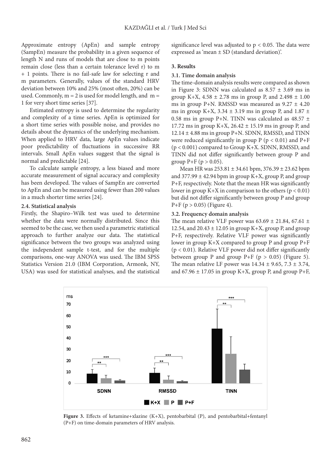Approximate entropy (ApEn) and sample entropy (SampEn) measure the probability in a given sequence of length N and runs of models that are close to m points remain close (less than a certain tolerance level r) to m + 1 points. There is no fail-safe law for selecting r and m parameters. Generally, values of the standard HRV deviation between 10% and 25% (most often, 20%) can be used. Commonly,  $m = 2$  is used for model length, and  $m =$ 1 for very short time series [37].

Estimated entropy is used to determine the regularity and complexity of a time series. ApEn is optimized for a short time series with possible noise, and provides no details about the dynamics of the underlying mechanism. When applied to HRV data, large ApEn values indicate poor predictability of fluctuations in successive RR intervals. Small ApEn values suggest that the signal is normal and predictable [24].

To calculate sample entropy, a less biased and more accurate measurement of signal accuracy and complexity has been developed. The values of SampEn are converted to ApEn and can be measured using fewer than 200 values in a much shorter time series [24].

#### **2.4. Statistical analysis**

Firstly, the Shapiro–Wilk test was used to determine whether the data were normally distributed. Since this seemed to be the case, we then used a parametric statistical approach to further analyze our data. The statistical significance between the two groups was analyzed using the independent sample t-test, and for the multiple comparisons, one-way ANOVA was used. The IBM SPSS Statistics Version 21.0 (IBM Corporation, Armonk, NY, USA) was used for statistical analyses, and the statistical

significance level was adjusted to  $p < 0.05$ . The data were expressed as 'mean ± SD (standard deviation)'.

#### **3. Results**

#### **3.1. Time domain analysis**

The time-domain analysis results were compared as shown in Figure 3: SDNN was calculated as  $8.57 \pm 3.69$  ms in group K+X,  $4.58 \pm 2.78$  ms in group P, and  $2.498 \pm 1.00$ ms in group P+N. RMSSD was measured as  $9.27 \pm 4.20$ ms in group K+X,  $3.34 \pm 3.19$  ms in group P, and  $1.87 \pm$ 0.58 ms in group P+N. TINN was calculated as  $48.57 \pm$ 17.72 ms in group K+X,  $26.42 \pm 15.19$  ms in group P, and  $12.14 \pm 4.88$  ms in group P+N. SDNN, RMSSD, and TINN were reduced significantly in group  $P$  ( $p < 0.01$ ) and  $P + F$ (p < 0.001) compared to Group K+X. SDNN, RMSSD, and TINN did not differ significantly between group P and group  $P + F (p > 0.05)$ .

Mean HR was 253.81 ± 34.61 bpm, 376.39 ± 23.62 bpm and  $377.99 \pm 42.94$  bpm in group K+X, group P, and group P+F, respectively. Note that the mean HR was significantly lower in group K+X in comparison to the others ( $p < 0.01$ ) but did not differ significantly between group P and group  $P+F$  (p > 0.05) (Figure 4).

#### **3.2. Frequency domain analysis**

The mean relative VLF power was  $63.69 \pm 21.84$ ,  $67.61 \pm$ 12.54, and  $20.43 \pm 12.05$  in group K+X, group P, and group P+F, respectively. Relative VLF power was significantly lower in group K+X compared to group P and group P+F  $(p < 0.01)$ . Relative VLF power did not differ significantly between group P and group  $P + F$  (p > 0.05) (Figure 5). The mean relative LF power was  $14.34 \pm 9.65$ ,  $7.3 \pm 3.74$ , and  $67.96 \pm 17.05$  in group K+X, group P, and group P+F,



**Figure 3.** Effects of ketamine+xlazine (K+X), pentobarbital (P), and pentobarbital+fentanyl (P+F) on time-domain parameters of HRV analysis.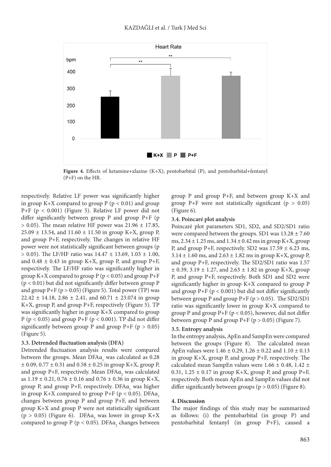

**Figure 4.** Effects of ketamine+xlazine (K+X), pentobarbital (P), and pentobarbital+fentanyl (P+F) on the HR.

respectively. Relative LF power was significantly higher in group K+X compared to group  $P$  ( $p < 0.01$ ) and group P+F (p < 0.001) (Figure 5). Relative LF power did not differ significantly between group  $P$  and group  $P + F$  (p  $> 0.05$ ). The mean relative HF power was 21.96  $\pm$  17.85,  $25.09 \pm 13.54$ , and  $11.60 \pm 11.50$  in group K+X, group P, and group P+F, respectively. The changes in relative HF power were not statistically significant between groups (p  $> 0.05$ ). The LF/HF ratio was  $14.47 \pm 13.69$ ,  $1.03 \pm 1.00$ , and  $0.48 \pm 0.43$  in group K+X, group P, and group P+F, respectively. The LF/HF ratio was significantly higher in group K+X compared to group  $P(p < 0.05)$  and group P+F (p < 0.01) but did not significantly differ between group P and group  $P+F$  ( $p > 0.05$ ) (Figure 5). Total power (TP) was  $22.42 \pm 14.18$ ,  $2.86 \pm 2.41$ , and  $60.71 \pm 23.074$  in group K+X, group P, and group P+F, respectively (Figure 5). TP was significantly higher in group K+X compared to group P ( $p < 0.05$ ) and group P+F ( $p < 0.001$ ). TP did not differ significantly between group P and group P+F ( $p > 0.05$ ) (Figure 5).

#### **3.3. Detrended fluctuation analysis (DFA)**

Detrended fluctuation analysis results were compared between the groups. Mean  $\rm{DFA}\alpha_{_1}$  was calculated as 0.28  $\pm$  0.09, 0.77  $\pm$  0.31 and 0.58  $\pm$  0.25 in group K+X, group P, and group P+F, respectively. Mean  $\mathrm{DFA}\alpha_{_2}$  was calculated as  $1.19 \pm 0.21$ ,  $0.76 \pm 0.16$  and  $0.76 \pm 0.36$  in group K+X, group P, and group P+F, respectively.  $DFA\alpha_1$  was higher in group K+X compared to group P+F ( $p < 0.05$ ). DFA $\alpha$ changes between group P and group P+F, and between group K+X and group P were not statistically significant ( $p > 0.05$ ) (Figure 6). DFA $\alpha$ <sub>2</sub> was lower in group K+X compared to group P ( $p < 0.05$ ). DFA $\alpha$ <sub>2</sub> changes between group P and group P+F, and between group K+X and group P+F were not statistically significant ( $p > 0.05$ ) (Figure 6).

## **3.4. Poincaré plot analysis**

Poincaré plot parameters SD1, SD2, and SD2/SD1 ratio were compared between the groups. SD1 was  $13.28 \pm 7.60$ ms,  $2.34 \pm 1.25$  ms, and  $1.34 \pm 0.42$  ms in group K+X, group P, and group P+F, respectively. SD2 was  $17.59 \pm 6.23$  ms,  $3.14 \pm 1.60$  ms, and  $2.63 \pm 1.82$  ms in group K+X, group P, and group P+F, respectively. The SD2/SD1 ratio was 1.57  $\pm$  0.39, 3.19  $\pm$  1.27, and 2.63  $\pm$  1.82 in group K+X, group P, and group P+F, respectively. Both SD1 and SD2 were significantly higher in group K+X compared to group P and group  $P+F$  ( $p < 0.001$ ) but did not differ significantly between group P and group  $P + F(p > 0.05)$ . The SD2/SD1 ratio was significantly lower in group K+X compared to group P and group  $P+F$  ( $p < 0.05$ ), however, did not differ between group P and group  $P + F$  (p > 0.05) (Figure 7).

#### **3.5. Entropy analysis**

In the entropy analysis, ApEn and SampEn were compared between the groups (Figure 8). The calculated mean ApEn values were 1.46 ± 0.29, 1.26 ± 0.22 and 1.10 ± 0.13 in group K+X, group P, and group P+F, respectively. The calculated mean SampEn values were 1.66 ± 0.48, 1.42 ± 0.31,  $1.25 \pm 0.17$  in group K+X, group P, and group P+F, respectively. Both mean ApEn and SampEn values did not differ significantly between groups ( $p > 0.05$ ) (Figure 8).

#### **4. Discussion**

The major findings of this study may be summarized as follows: (i) the pentobarbital (in group P) and pentobarbital fentanyl (in group P+F), caused a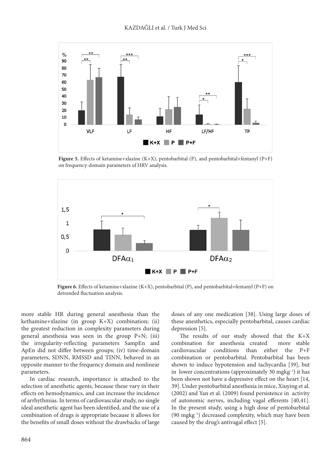

**Figure 5.** Effects of ketamine+xlazine (K+X), pentobarbital (P), and pentobarbital+fentanyl (P+F) on frequency-domain parameters of HRV analysis.



**Figure 6.** Effects of ketamine+xlazine (K+X), pentobarbital (P), and pentobarbital+fentanyl (P+F) on detrended fluctuation analysis.

more stable HR during general anesthesia than the kethamine+xlazine (in group K+X) combination; (ii) the greatest reduction in complexity parameters during general anesthesia was seen in the group P+N; (iii) the irregularity-reflecting parameters SampEn and ApEn did not differ between groups; (iv) time-domain parameters, SDNN, RMSSD and TINN, behaved in an opposite manner to the frequency domain and nonlinear parameters.

In cardiac research, importance is attached to the selection of anesthetic agents, because these vary in their effects on hemodynamics, and can increase the incidence of arrhythmias. In terms of cardiovascular study, no single ideal anesthetic agent has been identified, and the use of a combination of drugs is appropriate because it allows for the benefits of small doses without the drawbacks of large doses of any one medication [38]. Using large doses of these anesthetics, especially pentobarbital, causes cardiac depression [5].

The results of our study showed that the K+X combination for anesthesia created more stable cardiovascular conditions than either the P+F combination or pentobarbital. Pentobarbital has been shown to induce hypotension and tachycardia [39], but in lower concentrations (approximately 30 mgkg $^{-1}$ ) it has been shown not have a depressive effect on the heart [14, 39]. Under pentobarbital anesthesia in mice, Xiuying et al. (2002) and Yan et al. (2009) found persistence in activity of autonomic nerves, including vagal efferents [40,41]. In the present study, using a high dose of pentobarbital (90 mgkg–1) decreased complexity, which may have been caused by the drug's antivagal effect [5].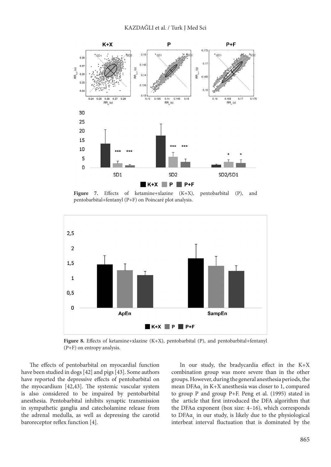

Figure 7. Effects of ketamine+xlazine (K+X), pentobarbital (P), and pentobarbital+fentanyl (P+F) on Poincaré plot analysis.



Figure 8. Effects of ketamine+xlazine (K+X), pentobarbital (P), and pentobarbital+fentanyl (P+F) on entropy analysis.

The effects of pentobarbital on myocardial function have been studied in dogs [42] and pigs [43]. Some authors have reported the depressive effects of pentobarbital on the myocardium [42,43]. The systemic vascular system is also considered to be impaired by pentobarbital anesthesia. Pentobarbital inhibits synaptic transmission in sympathetic ganglia and catecholamine release from the adrenal medulla, as well as depressing the carotid baroreceptor reflex function [4].

In our study, the bradycardia effect in the K+X combination group was more severe than in the other groups. However, during the general anesthesia periods, the mean  $\text{DFAa}_1$  in K+X anesthesia was closer to 1, compared to group P and group P+F. Peng et al. (1995) stated in the article that first introduced the DFA algorithm that the DFAα exponent (box size: 4–16), which corresponds to  $\text{DFAa}_1$  in our study, is likely due to the physiological interbeat interval fluctuation that is dominated by the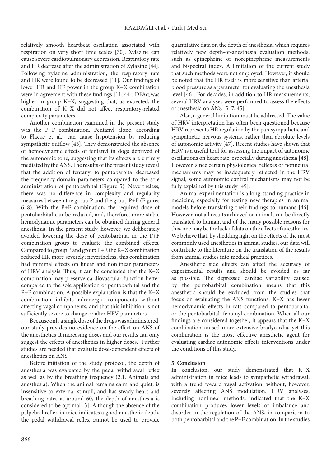relatively smooth heartbeat oscillation associated with respiration on very short time scales [30]. Xylazine can cause severe cardiopulmonary depression. Respiratory rate and HR decrease after the administration of Xylazine [44]. Following xylazine administration, the respiratory rate and HR were found to be decreased [11]. Our findings of lower HR and HF power in the group K+X combination were in agreement with these findings [11, 44].  $\text{DFA}\alpha_1$ was higher in group K+X, suggesting that, as expected, the combination of K+X did not affect respiratory-related complexity parameters.

Another combination examined in the present study was the P+F combination. Fentanyl alone, according to Flacke et al., can cause hypotension by reducing sympathetic outflow [45]. They demonstrated the absence of hemodynamic effects of fentanyl in dogs deprived of the autonomic tone, suggesting that its effects are entirely mediated by the ANS. The results of the present study reveal that the addition of fentanyl to pentobarbital decreased the frequency-domain parameters compared to the sole administration of pentobarbital (Figure 5). Nevertheless, there was no difference in complexity and regularity measures between the group P and the group P+F (Figures 6–8). With the P+F combination, the required dose of pentobarbital can be reduced, and, therefore, more stable hemodynamic parameters can be obtained during general anesthesia. In the present study, however, we deliberately avoided lowering the dose of pentobarbital in the P+F combination group to evaluate the combined effects. Compared to group P and group P+F, the K+X combination reduced HR more severely; nevertheless, this combination had minimal effects on linear and nonlinear parameters of HRV analysis. Thus, it can be concluded that the K+X combination may preserve cardiovascular function better compared to the sole application of pentobarbital and the P+F combination. A possible explanation is that the K+X combination inhibits adrenergic components without affecting vagal components, and that this inhibition is not sufficiently severe to change or alter HRV parameters.

Because only a single dose of the drugs was administered, our study provides no evidence on the effect on ANS of the anesthetics at increasing doses and our results can only suggest the effects of anesthetics in higher doses. Further studies are needed that evaluate dose-dependent effects of anesthetics on ANS.

Before initiation of the study protocol, the depth of anesthesia was evaluated by the pedal withdrawal reflex as well as by the breathing frequency (2.1. Animals and anesthesia). When the animal remains calm and quiet, is insensitive to external stimuli, and has steady heart and breathing rates at around 60, the depth of anesthesia is considered to be optimal [3]. Although the absence of the palpebral reflex in mice indicates a good anesthetic depth, the pedal withdrawal reflex cannot be used to provide

quantitative data on the depth of anesthesia, which requires relatively new depth-of-anesthesia evaluation methods, such as epinephrine or norepinephrine measurements and bispectral index. A limitation of the current study that such methods were not employed. However, it should be noted that the HR itself is more sensitive than arterial blood pressure as a parameter for evaluating the anesthesia level [46]. For decades, in addition to HR measurements, several HRV analyses were performed to assess the effects of anesthesia on ANS [5–7, 45].

Also, a general limitation must be addressed. The value of HRV interpretation has often been questioned because HRV represents HR regulation by the parasympathetic and sympathetic nervous systems, rather than absolute levels of autonomic activity [47]. Recent studies have shown that HRV is a useful tool for assessing the impact of autonomic oscillations on heart rate, especially during anesthesia [48]. However, since certain physiological reflexes or nonneural mechanisms may be inadequately reflected in the HRV signal, some autonomic control mechanisms may not be fully explained by this study [49].

Animal experimentation is a long-standing practice in medicine, especially for testing new therapies in animal models before translating their findings to humans [46]. However, not all results achieved on animals can be directly translated to human, and of the many possible reasons for this, one may be the lack of data on the effects of anesthetics. We believe that, by shedding light on the effects of the most commonly used anesthetics in animal studies, our data will contribute to the literature on the translation of the results from animal studies into medical practices.

Anesthetic side effects can affect the accuracy of experimental results and should be avoided as far as possible. The depressed cardiac variability caused by the pentobarbital combination means that this anesthetic should be excluded from the studies that focus on evaluating the ANS functions. K+X has fewer hemodynamic effects in rats compared to pentobarbital or the pentobarbital+fentanyl combination. When all our findings are considered together, it appears that the K+X combination caused more extensive bradycardia, yet this combination is the most effective anesthetic agent for evaluating cardiac autonomic effects interventions under the conditions of this study.

## **5. Conclusion**

In conclusion, our study demonstrated that K+X administration in mice leads to sympathetic withdrawal, with a trend toward vagal activation; without, however, severely affecting ANS modulation. HRV analyses, including nonlinear methods, indicated that the K+X combination produces lower levels of imbalance and disorder in the regulation of the ANS, in comparison to both pentobarbital and the P+F combination. In the studies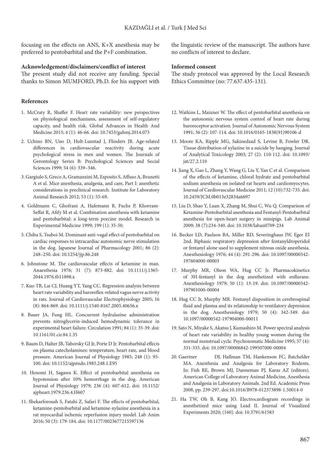focusing on the effects on ANS, K+X anesthesia may be preferred to pentobarbital and the P+F combination.

#### **Acknowledgement/disclaimers/conflict of interest**

The present study did not receive any funding. Special thanks to Simon MUMFORD, Ph.D. for his support with

## **References**

- 1. McCraty R, Shaffer F. Heart rate variability: new perspectives on physiological mechanisms, assessment of self-regulatory capacity, and health risk. Global Advances in Health And Medicine 2015; 4 (1): 46-66. doi: 10.7453/gahmj.2014.073
- 2. Uchino BN, Uno D, Holt-Lunstad J, Flinders JB. Age-related differences in cardiovascular reactivity during acute psychological stress in men and women. The Journals of Gerontology Series B: Psychological Sciences and Social Sciences 1999; 54 (6): 339–346.
- 3. Gargiulo S, Greco A, Gramanzini M, Esposito S, Affuso A, Brunetti A et al. Mice anesthesia, analgesia, and care, Part I: anesthetic considerations in preclinical research. Institute for Laboratory Animal Research 2012; 53 (1): 55-69.
- 4. Goldmann C, Ghofrani A, Hafemann B, Fuchs P, Khorram-Seffat R, Afify M et al. Combination anesthesia with ketamine and pentobarbital: a long-term porcine model. Research in Experimental Medicine 1999; 199 (1): 35-50.
- 5. Chiba S, Tsuboi M. Dominant anti-vagal effect of pentobarbital on cardiac responses to intracardiac autonomic nerve stimulation in the dog. Japanese Journal of Pharmacology 2001; 86 (2): 248–250. doi: 10.1254/jjp.86.248
- 6. Johnstone M. The cardiovascular effects of ketamine in man. Anaesthesia 1976; 31 (7): 873-882. doi: 10.1111/j.1365- 2044.1976.tb11898.x
- 7. Kuo TB, Lai CJ, Huang YT, Yang CC. Regression analysis between heart rate variability and baroreflex-related vagus nerve activity in rats. Journal of Cardiovascular Electrophysiology 2005; 16 (8): 864-869. doi: 10.1111/j.1540-8167.2005.40656.x
- 8. Bauer JA, Fung HL. Concurrent hydralazine administration prevents nitroglycerin-induced hemodynamic tolerance in experimental heart failure. Circulation 1991; 84 (1): 35-39. doi: 10.1161/01.cir.84.1.35
- 9. Baum D, Halter JB, Taborsky GJ Jr, Porte D Jr. Pentobarbital effects on plasma catecholamines: temperature, heart rate, and blood pressure. American Journal of Physiology 1985; 248 (1): 95- 100. doi: 10.1152/ajpendo.1985.248.1.E95
- 10. Hosomi H, Sagawa K. Effect of pentobarbital anesthesia on hypotension after 10% hemorrhage in the dog. American Journal of Physiology 1979; 236 (4): 607-612. doi: 10.1152/ ajpheart.1979.236.4.H607
- 11. Shekarforoush S, Fatahi Z, Safari F. The effects of pentobarbital, ketamine-pentobarbital and ketamine-xylazine anesthesia in a rat myocardial ischemic reperfusion injury model. Lab Anim 2016; 50 (3): 179-184. doi: 10.1177/0023677215597136

the linguistic review of the manuscript. The authors have no conflicts of interest to declare.

## **Informed consent**

The study protocol was approved by the Local Research Ethics Committee (no: 77.637.435-131).

- 12. Watkins L, Maixner W. The effect of pentobarbital anesthesia on the autonomic nervous system control of heart rate during baroreceptor activation. Journal of Autonomic Nervous System 1991; 36 (2): 107-114. doi: 10.1016/0165-1838(91)90106-d
- 13. Moore KA, Ripple MG, Sakinedzad S, Levine B, Fowler DR. Tissue distribution of xylazine in a suicide by hanging. Journal of Analytical Toxicology 2003; 27 (2): 110-112. doi: 10.1093/ jat/27.2.110
- 14. Jiang X, Gao L, Zhang Y, Wang G, Liu Y, Yan C et al. Comparison of the effects of ketamine, chloral hydrate and pentobarbital sodium anesthesia on isolated rat hearts and cardiomyocytes. Journal of Cardiovascular Medicine 2011; 12 (10):732-735. doi: 10.2459/JCM.0b013e32834a6697
- 15. Liu D, Shao Y, Luan X, Zhang M, Shui C, Wu Q. Comparison of Ketamine-Pentobarbital anesthesia and Fentanyl-Pentobarbital anesthesia for open-heart surgery in minipigs. Lab Animal 2009; 38 (7):234-340. doi: 10.1038/laban0709-234
- 16. Becker LD, Paulson BA, Miller RD, Severinghaus JW, Eger EI 2nd. Biphasic respiratory depression after fentanyldroperidol or fentanyl alone used to supplement nitrous oxide anesthesia. Anesthesiology 1976; 44 (4): 291-296. doi: 10.1097/00000542- 197604000-00003
- 17. Murphy MR, Olson WA, Hug CC Jr. Pharmacokinetics of 3H-fentanyl in the dog anesthetized with enflurane. Anesthesiology 1979; 50 (1): 13-19. doi: 10.1097/00000542- 197901000-00004
- 18. Hug CC Jr, Murphy MR. Fentanyl disposition in cerebrospinal fluid and plasma and its relationship to ventilatory depression in the dog. Anesthesiology 1979; 50 (4): 342-349. doi: 10.1097/00000542-197904000-00011
- 19. Sato N, Miyake S, Akatsu J, Kumashiro M. Power spectral analysis of heart rate variability in healthy young women during the normal menstrual cycle. Psychosomatic Medicine 1995; 57 (4): 331-335. doi: 10.1097/00006842-199507000-00004
- 20. Gaertner DJ, Hallman TM, Hankenson FC, Batchelder MA. Anesthesia and Analgesia for Laboratory Rodents. In: Fish RE, Brown MJ, Danneman PJ, Karas AZ (editors). American College of Laboratory Animal Medicine, Anesthesia and Analgesia in Laboratory Animals. 2nd Ed. Academic Press 2008, pp. 239-297. doi:10.1016/B978-012373898-1.50014-0
- 21. Ha TW, Oh B, Kang JO. Electrocardiogram recordings in anesthetized mice using Lead II. Journal of Visualized Experiments 2020; (160). doi: 10.3791/61583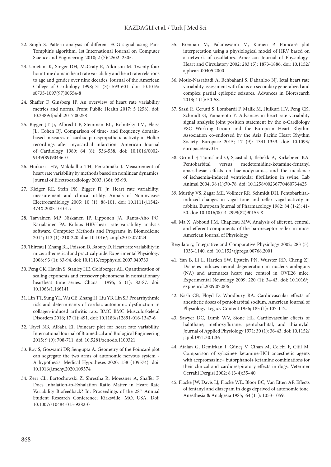- 22. Singh S. Pattern analysis of different ECG signal using Pan-Tompkin's algorithm. 1st International Journal on Computer Science and Engineering 2010; 2 (7): 2502–2505.
- 23. Umetani K, Singer DH, McCraty R, Atkinson M. Twenty-four hour time domain heart rate variability and heart rate: relations to age and gender over nine decades. Journal of the American College of Cardiology 1998; 31 (3): 593-601. doi: 10.1016/ s0735-1097(97)00554-8
- 24. Shaffer F, Ginsberg JP. An overview of heart rate variability metrics and norms. Front Public Health 2017; 5 (258). doi: 10.3389/fpubh.2017.00258
- 25. Bigger JT Jr, Albrecht P, Steinman RC, Rolnitzky LM, Fleiss JL, Cohen RJ. Comparison of time- and frequency domainbased measures of cardiac parasympathetic activity in Holter recordings after myocardial infarction. American Journal of Cardiology 1989; 64 (8): 536-538. doi: 10.1016/0002- 9149(89)90436-0
- 26. Huikuri HV, Mäkikallio TH, Perkiömäki J. Measurement of heart rate variability by methods based on nonlinear dynamics. Journal of Electrocardiology 2003; (36): 95-99.
- 27. Kleiger RE, Stein PK, Bigger JT Jr. Heart rate variability: measurement and clinical utility. Annals of Noninvasive Electrocardiology 2005; 10 (1): 88-101. doi: 10.1111/j.1542- 474X.2005.10101.x
- 28. Tarvainen MP, Niskanen JP, Lipponen JA, Ranta-Aho PO, Karjalainen PA. Kubios HRV-heart rate variability analysis software. Computer Methods and Programs in Biomedicine 2014; 113 (1): 210-220. doi: 10.1016/j.cmpb.2013.07.024
- 29. Thireau J, Zhang BL, Poisson D, Babuty D. Heart rate variability in mice: a theoretical and practical guide. Experimental Physiology 2008; 93 (1): 83-94. doi: 10.1113/expphysiol.2007.040733
- 30. Peng CK, Havlin S, Stanley HE, Goldberger AL. Quantification of scaling exponents and crossover phenomena in nonstationary heartbeat time series. Chaos 1995; 5 (1): 82-87. doi: 10.1063/1.166141
- 31. Lin TT, Sung YL, Wu CE, Zhang H, Liu YB, Lin SF. Proarrhythmic risk and determinants of cardiac autonomic dysfunction in collagen-induced arthritis rats. BMC BMC Musculoskeletal Disorders 2016; 17 (1): 491. doi: 10.1186/s12891-016-1347-6
- 32. Tayel NB, AlSaba EI. Poincaré plot for heart rate variability. International Journal of Biomedical and Biological Engineering 2015; 9 (9): 708-711. doi: 10.5281/zenodo.1109321
- 33. Roy S, Goswami DP, Sengupta A. Geometry of the Poincaré plot can segregate the two arms of autonomic nervous system - A hypothesis. Medical Hypotheses 2020; 138 (109574). doi: 10.1016/j.mehy.2020.109574
- 34. Zerr CL, Bartochowski Z, Shrestha R, Moessner A, Shaffer F. Does Inhalation-to-Exhalation Ratio Matter in Heart Rate Variability Biofeedback? In: Proceedings of the 28<sup>th</sup> Annual Student Research Conference; Kirksville, MO, USA. Doi: 10.1007/s10484-015-9282-0
- 35. Brennan M, Palaniswami M, Kamen P. Poincaré plot interpretation using a physiological model of HRV based on a network of oscillators. American Journal of Physiology-Heart and Circulatory 2002; 283 (5): 1873-1886. doi: 10.1152/ ajpheart.00405.2000
- 36. Motie-Nasrabadi A, Behbahani S, Dabanloo NJ. Ictal heart rate variability assessment with focus on secondary generalized and complex partial epileptic seizures. Advances in Bioresearch 2013; 4 (1): 50-58.
- 37. Sassi R, Cerutti S, Lombardi F, Malik M, Huikuri HV, Peng CK, Schmidt G, Yamamoto Y. Advances in heart rate variability signal analysis: joint position statement by the e-Cardiology ESC Working Group and the European Heart Rhythm Association co-endorsed by the Asia Pacific Heart Rhythm Society. Europace 2015; 17 (9): 1341-1353. doi: 10.1093/ europace/euv015
- 38. Grund F, Tjomsland O, Sjaastad I, Ilebekk A, Kirkebøen KA. Pentobarbital versus medetomidine-ketamine-fentanyl anaesthesia: effects on haemodynamics and the incidence of ischaemia-induced ventricular fibrillation in swine. Lab Animal 2004; 38 (1):70-78. doi: 10.1258/00236770460734425
- 39. Murthy VS, Zagar ME, Vollmer RR, Schmidt DH. Pentobarbitalinduced changes in vagal tone and reflex vagal activity in rabbits. European Journal of Pharmacology 1982; 84 (1-2): 41- 50. doi: 10.1016/0014-2999(82)90155-8
- 40. Ma X, Abboud FM, Chapleau MW. Analysis of afferent, central, and efferent components of the baroreceptor reflex in mice. American Journal of Physiology
- Regulatory, Integrative and Comparative Physiology 2002; 283 (5): 1033-1140. doi: 10.1152/ajpregu.00768.2001
- 41. Yan B, Li L, Harden SW, Epstein PN, Wurster RD, Cheng ZJ. Diabetes induces neural degeneration in nucleus ambiguus (NA) and attenuates heart rate control in OVE26 mice. Experimental Neurology 2009; 220 (1): 34-43. doi: 10.1016/j. expneurol.2009.07.006
- 42. Nash CB, Floyd D, Woodbury RA. Cardiovascular effects of anesthetic doses of pentobarbital sodium. American Journal of Physiology-Legacy Content 1956; 185 (1): 107-112.
- 43. Sawyer DC, Lumb WV, Stone HL. Cardiovascular effects of halothane, methoxyflurane, pentobarbital, and thiamylal. Journal of Applied Physiology 1971; 30 (1): 36-43. doi: 10.1152/ jappl.1971.30.1.36
- 44. Atalan G, Demirkan I, Güneş V, Cihan M, Celebi F, Citil M. Comparison of xylazine+ ketamine-HCI anaesthetic agents with acepromazine+ butorphanol+ ketamine combinations for their clinical and cardiorespiratory effects in dogs. Veteriner Cerrahi Dergisi 2002; 8 (3-4):35–40.
- 45. Flacke JW, Davis LJ, Flacke WE, Bloor BC, Van Etten AP. Effects of fentanyl and diazepam in dogs deprived of autonomic tone. Anesthesia & Analgesia 1985; 64 (11): 1053-1059.